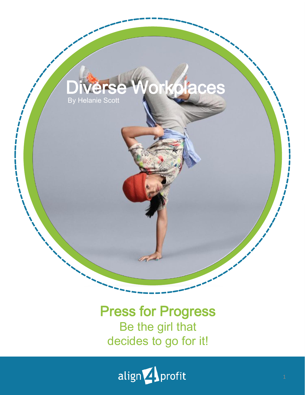

### Press for Progress Be the girl that decides to go for it!

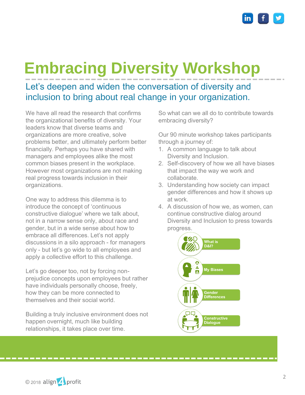

## **Embracing Diversity Workshop**

Let's deepen and widen the conversation of diversity and inclusion to bring about real change in your organization.

We have all read the research that confirms the organizational benefits of diversity. Your leaders know that diverse teams and organizations are more creative, solve problems better, and ultimately perform better financially. Perhaps you have shared with managers and employees alike the most common biases present in the workplace. However most organizations are not making real progress towards inclusion in their organizations.

One way to address this dilemma is to introduce the concept of 'continuous constructive dialogue' where we talk about, not in a narrow sense only, about race and gender, but in a wide sense about how to embrace all differences. Let's not apply discussions in a silo approach - for managers only - but let's go wide to all employees and apply a collective effort to this challenge.

Let's go deeper too, not by forcing nonprejudice concepts upon employees but rather have individuals personally choose, freely, how they can be more connected to themselves and their social world.

Building a truly inclusive environment does not happen overnight, much like building relationships, it takes place over time.

So what can we all do to contribute towards embracing diversity?

Our 90 minute workshop takes participants through a journey of:

- 1. A common language to talk about Diversity and Inclusion.
- 2. Self-discovery of how we all have biases that impact the way we work and collaborate.
- 3. Understanding how society can impact gender differences and how it shows up at work.
- 4. A discussion of how we, as women, can continue constructive dialog around Diversity and Inclusion to press towards progress.



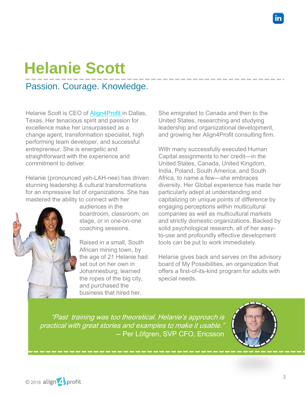# **Helanie Scott**

Passion. Courage. Knowledge.

Helanie Scott is CEO of [Align4Profit](http://www.align4profit.com/) in Dallas, Texas. Her tenacious spirit and passion for excellence make her unsurpassed as a change agent, transformation specialist, high performing team developer, and successful entrepreneur. She is energetic and straightforward with the experience and commitment to deliver.

Helanie (pronounced yeh-LAH-nee) has driven stunning leadership & cultural transformations for an impressive list of organizations. She has mastered the ability to connect with her



audiences in the boardroom, classroom, on stage, or in one-on-one coaching sessions.

Raised in a small, South African mining town, by the age of 21 Helanie had set out on her own in Johannesburg, learned the ropes of the big city, and purchased the business that hired her.

She emigrated to Canada and then to the United States, researching and studying leadership and organizational development, and growing her Align4Profit consulting firm.

With many successfully executed Human Capital assignments to her credit—in the United States, Canada, United Kingdom, India, Poland, South America, and South Africa, to name a few—she embraces diversity. Her Global experience has made her particularly adept at understanding and capitalizing on unique points of difference by engaging perceptions within multicultural companies as well as multicultural markets and strictly domestic organizations. Backed by solid psychological research, all of her easyto-use and profoundly effective development tools can be put to work immediately.

Helanie gives back and serves on the advisory board of My Possibilities, an organization that offers a first-of-its-kind program for adults with special needs.

"Past training was too theoretical. Helanie's approach is practical with great stories and examples to make it usable." -- Per Löfgren, SVP CFO, Ericsson